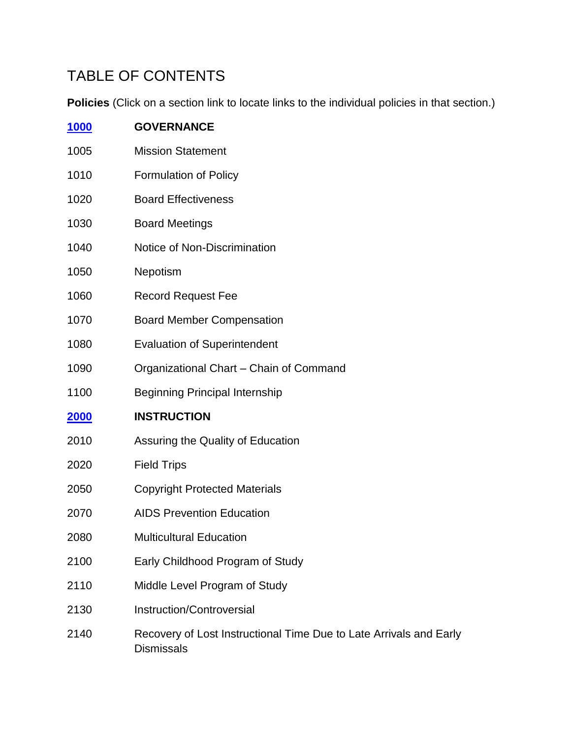## TABLE OF CONTENTS

**Policies** (Click on a section link to locate links to the individual policies in that section.)

| <u>1000</u> | <b>GOVERNANCE</b>                                                                       |
|-------------|-----------------------------------------------------------------------------------------|
| 1005        | <b>Mission Statement</b>                                                                |
| 1010        | <b>Formulation of Policy</b>                                                            |
| 1020        | <b>Board Effectiveness</b>                                                              |
| 1030        | <b>Board Meetings</b>                                                                   |
| 1040        | Notice of Non-Discrimination                                                            |
| 1050        | Nepotism                                                                                |
| 1060        | <b>Record Request Fee</b>                                                               |
| 1070        | <b>Board Member Compensation</b>                                                        |
| 1080        | <b>Evaluation of Superintendent</b>                                                     |
| 1090        | Organizational Chart - Chain of Command                                                 |
| 1100        | <b>Beginning Principal Internship</b>                                                   |
| 2000        | <b>INSTRUCTION</b>                                                                      |
| 2010        | Assuring the Quality of Education                                                       |
| 2020        | <b>Field Trips</b>                                                                      |
| 2050        | <b>Copyright Protected Materials</b>                                                    |
| 2070        | <b>AIDS Prevention Education</b>                                                        |
| 2080        | <b>Multicultural Education</b>                                                          |
| 2100        | Early Childhood Program of Study                                                        |
| 2110        | Middle Level Program of Study                                                           |
| 2130        | Instruction/Controversial                                                               |
| 2140        | Recovery of Lost Instructional Time Due to Late Arrivals and Early<br><b>Dismissals</b> |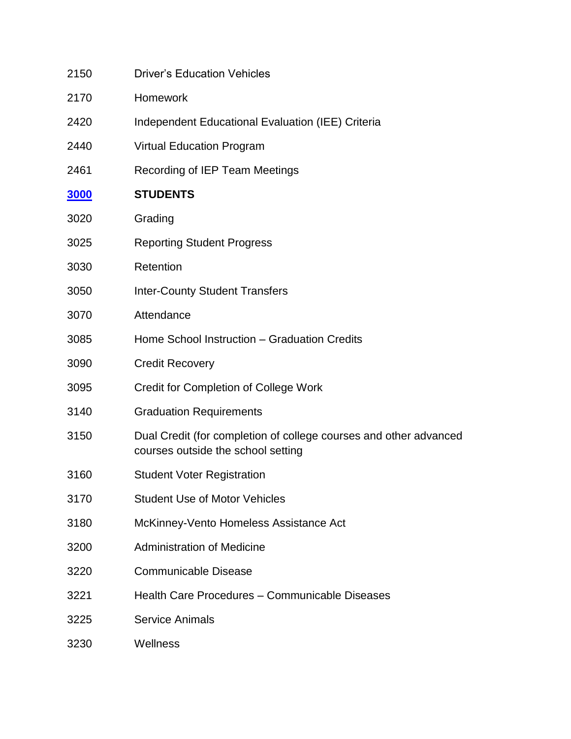| 2150        | <b>Driver's Education Vehicles</b>                                                                      |
|-------------|---------------------------------------------------------------------------------------------------------|
| 2170        | Homework                                                                                                |
| 2420        | Independent Educational Evaluation (IEE) Criteria                                                       |
| 2440        | <b>Virtual Education Program</b>                                                                        |
| 2461        | Recording of IEP Team Meetings                                                                          |
| <u>3000</u> | <b>STUDENTS</b>                                                                                         |
| 3020        | Grading                                                                                                 |
| 3025        | <b>Reporting Student Progress</b>                                                                       |
| 3030        | Retention                                                                                               |
| 3050        | <b>Inter-County Student Transfers</b>                                                                   |
| 3070        | Attendance                                                                                              |
| 3085        | Home School Instruction - Graduation Credits                                                            |
| 3090        | <b>Credit Recovery</b>                                                                                  |
| 3095        | Credit for Completion of College Work                                                                   |
| 3140        | <b>Graduation Requirements</b>                                                                          |
| 3150        | Dual Credit (for completion of college courses and other advanced<br>courses outside the school setting |
| 3160        | <b>Student Voter Registration</b>                                                                       |
| 3170        | <b>Student Use of Motor Vehicles</b>                                                                    |
| 3180        | McKinney-Vento Homeless Assistance Act                                                                  |
| 3200        | <b>Administration of Medicine</b>                                                                       |
| 3220        | <b>Communicable Disease</b>                                                                             |
| 3221        | Health Care Procedures - Communicable Diseases                                                          |
| 3225        | <b>Service Animals</b>                                                                                  |
| 3230        | Wellness                                                                                                |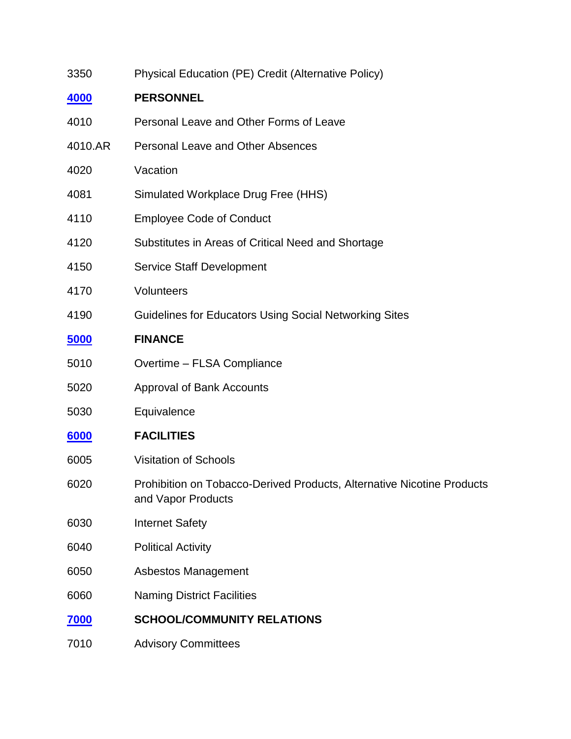| 3350        | Physical Education (PE) Credit (Alternative Policy)                                          |
|-------------|----------------------------------------------------------------------------------------------|
| 4000        | <b>PERSONNEL</b>                                                                             |
| 4010        | Personal Leave and Other Forms of Leave                                                      |
| 4010.AR     | <b>Personal Leave and Other Absences</b>                                                     |
| 4020        | Vacation                                                                                     |
| 4081        | Simulated Workplace Drug Free (HHS)                                                          |
| 4110        | <b>Employee Code of Conduct</b>                                                              |
| 4120        | Substitutes in Areas of Critical Need and Shortage                                           |
| 4150        | <b>Service Staff Development</b>                                                             |
| 4170        | Volunteers                                                                                   |
| 4190        | Guidelines for Educators Using Social Networking Sites                                       |
| 5000        | <b>FINANCE</b>                                                                               |
| 5010        | Overtime - FLSA Compliance                                                                   |
| 5020        | Approval of Bank Accounts                                                                    |
| 5030        | Equivalence                                                                                  |
| 6000        | <b>FACILITIES</b>                                                                            |
| 6005        | <b>Visitation of Schools</b>                                                                 |
| 6020        | Prohibition on Tobacco-Derived Products, Alternative Nicotine Products<br>and Vapor Products |
| 6030        | <b>Internet Safety</b>                                                                       |
| 6040        | <b>Political Activity</b>                                                                    |
| 6050        | <b>Asbestos Management</b>                                                                   |
| 6060        | <b>Naming District Facilities</b>                                                            |
| <u>7000</u> | <b>SCHOOL/COMMUNITY RELATIONS</b>                                                            |
| 7010        | <b>Advisory Committees</b>                                                                   |